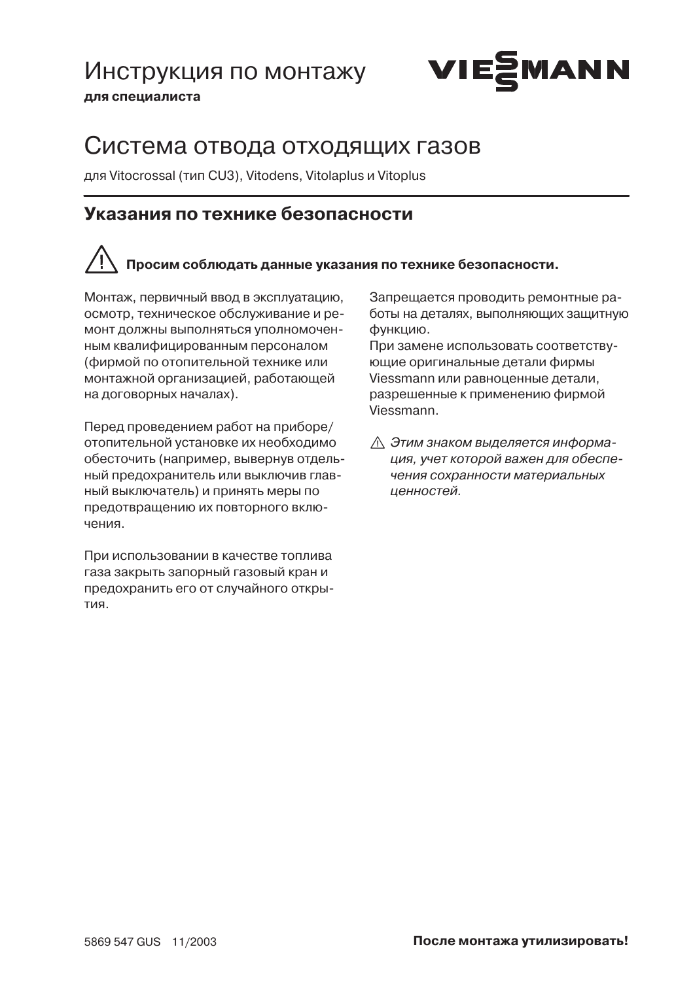## Инструкция по монтажу



для специалиста

## Система отвода отходящих газов

для Vitocrossal (тип CU3), Vitodens, Vitolaplus и Vitoplus

## Указания по технике безопасности

## Просим соблюдать данные указания по технике безопасности.

Монтаж, первичный ввод в эксплуатацию. осмотр, техническое обслуживание и ремонт должны выполняться уполномоченным квалифицированным персоналом (фирмой по отопительной технике или монтажной организацией, работающей на договорных началах).

Перед проведением работ на приборе/ отопительной установке их необходимо обесточить (например, вывернув отдельный предохранитель или выключив главный выключатель) и принять меры по предотвращению их повторного включения.

При использовании в качестве топлива газа закрыть запорный газовый кран и предохранить его от случайного откры-LRNT

Запрешается проводить ремонтные работы на деталях, выполняющих защитную функцию.

При замене использовать соответствующие оригинальные детали фирмы Viessmann или равноценные детали. разрешенные к применению фирмой Viessmann.

∧ Этим знаком выделяется информация, учет которой важен для обеспечения сохранности материальных ценностей.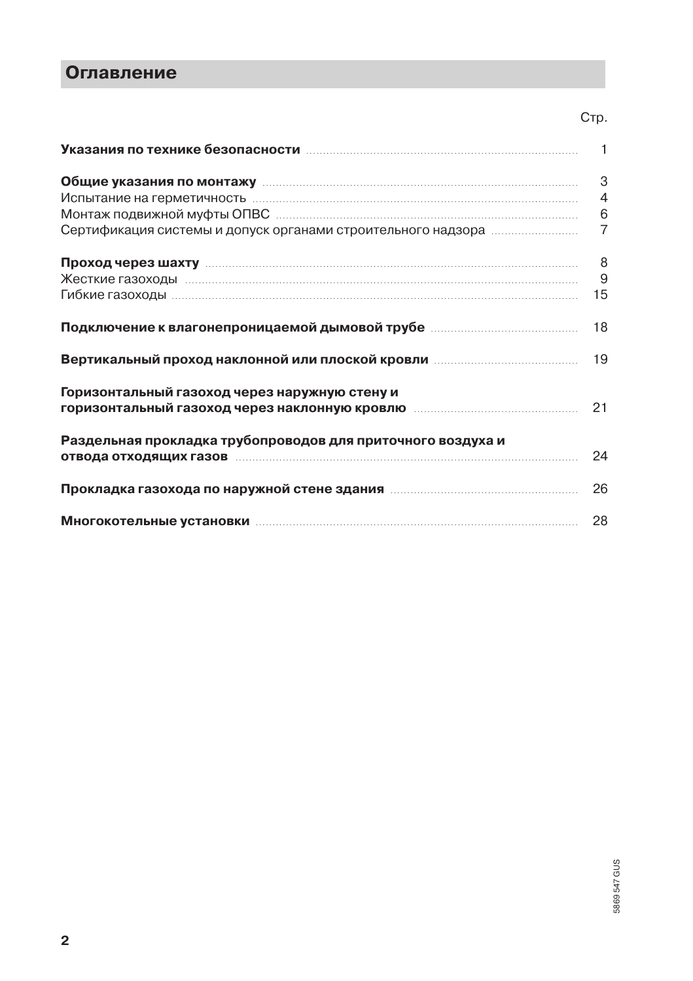## **Оглавление**

| Указания по технике безопасности пополностими по техническим техническим и технике 1                          |                |
|---------------------------------------------------------------------------------------------------------------|----------------|
| Общие указания по монтажу повеспечивающих положительности.                                                    | 3              |
|                                                                                                               | $\overline{4}$ |
|                                                                                                               |                |
| Сертификация системы и допуск органами строительного надзора                                                  | $\overline{7}$ |
|                                                                                                               | - 8            |
|                                                                                                               | 9              |
|                                                                                                               | 15             |
|                                                                                                               | 18             |
|                                                                                                               | 19             |
| Горизонтальный газоход через наружную стену и                                                                 |                |
|                                                                                                               | 21             |
| Раздельная прокладка трубопроводов для приточного воздуха и                                                   |                |
| отвода отходящих газов последнивательности и подвода отходящих газов последнивательности и подводительности и | 24             |
|                                                                                                               | 26             |
|                                                                                                               | 28             |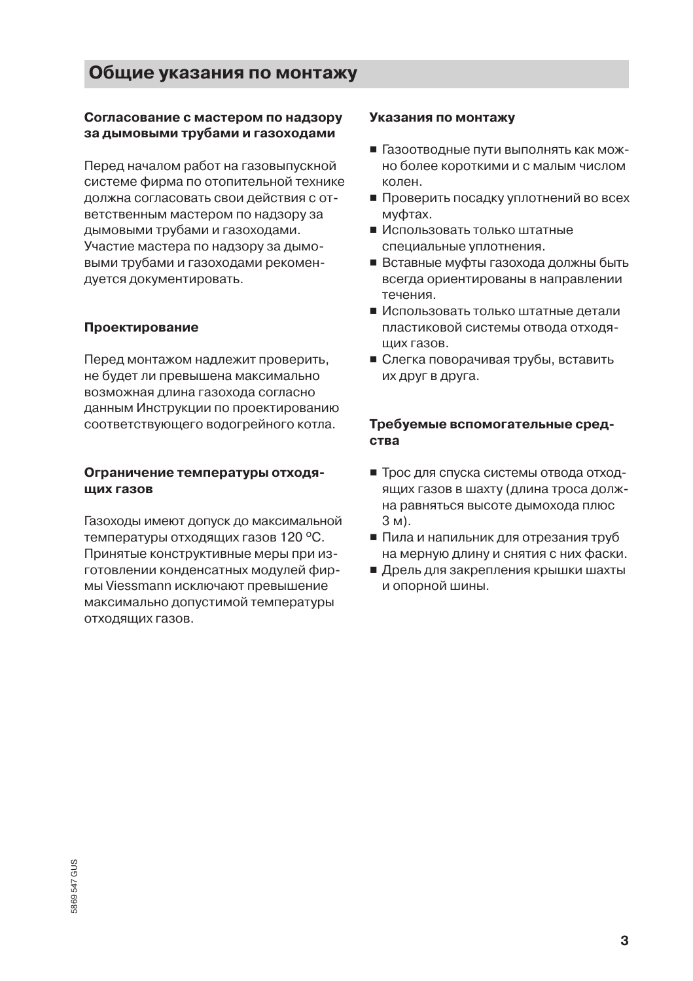## Общие указания по монтажу

#### Согласование с мастером по надзору за дымовыми трубами и газоходами

Перед началом работ на газовыпускной системе фирма по отопительной технике должна согласовать свои действия с ответственным мастером по надзору за дымовыми трубами и газоходами. Участие мастера по надзору за дымовыми трубами и газоходами рекомендуется документировать.

#### Проектирование

Перед монтажом надлежит проверить, не будет ли превышена максимально возможная длина газохода согласно данным Инструкции по проектированию соответствующего водогрейного котла.

#### Ограничение температуры отходяших газов

Газоходы имеют допуск до максимальной температуры отходящих газов 120 °С. Принятые конструктивные меры при изготовлении конденсатных модулей фирмы Viessmann исключают превышение максимально допустимой температуры отходящих газов.

#### Указания по монтажу

- Газоотводные пути выполнять как можно более короткими и с малым числом колен.
- Проверить посадку уплотнений во всех муфтах.
- Использовать только штатные специальные уплотнения.
- Вставные муфты газохода должны быть всегда ориентированы в направлении течения.
- Использовать только штатные детали пластиковой системы отвода отходяших газов.
- Слегка поворачивая трубы, вставить их друг в друга.

#### Требуемые вспомогательные сред-CTRA

- Трос для спуска системы отвода отходящих газов в шахту (длина троса должна равняться высоте дымохода плюс 3 M).
- Пила и напильник для отрезания труб на мерную длину и снятия с них фаски.
- Дрель для закрепления крышки шахты и опорной шины.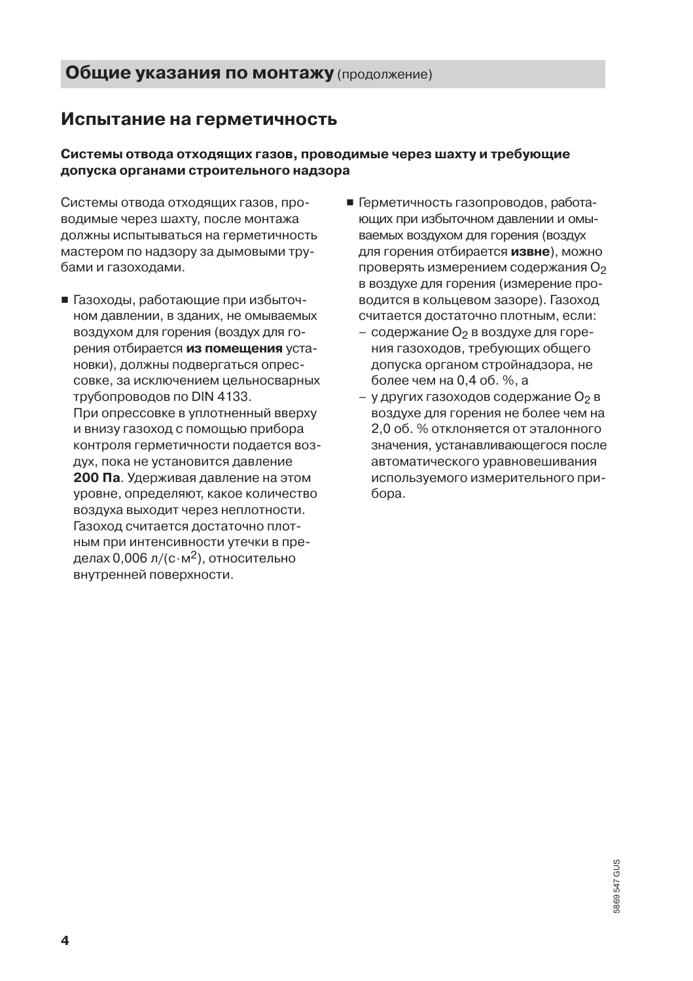## Испытание на герметичность

#### Системы отвода отходящих газов, проводимые через шахту и требующие допуска органами строительного надзора

Системы отвода отходящих газов, проводимые через шахту, после монтажа должны испытываться на герметичность мастером по надзору за дымовыми трубами и газоходами.

- Газоходы, работающие при избыточном давлении, в зданих, не омываемых воздухом для горения (воздух для горения отбирается из помешения установки), должны подвергаться опрессовке, за исключением цельносварных трубопроводов по DIN 4133. При опрессовке в уплотненный вверху и внизу газоход с помощью прибора контроля герметичности подается воздух, пока не установится давление 200 Па. Удерживая давление на этом уровне, определяют, какое количество воздуха выходит через неплотности. Газоход считается достаточно плотным при интенсивности утечки в пределах 0,006 л/(с $\cdot$ м<sup>2</sup>), относительно внутренней поверхности.
- Герметичность газопроводов, работающих при избыточном давлении и омываемых воздухом для горения (воздух для горения отбирается извне), можно проверять измерением содержания О2 в воздухе для горения (измерение проводится в кольцевом зазоре). Газоход считается достаточно плотным, если:
	- содержание О<sub>2</sub> в воздухе для горения газоходов, требующих общего допуска органом стройнадзора, не более чем на 0.4 об. %, а
	- у других газоходов содержание О2 в воздухе для горения не более чем на 2,0 об. % отклоняется от эталонного значения, устанавливающегося после автоматического уравновешивания используемого измерительного прибора.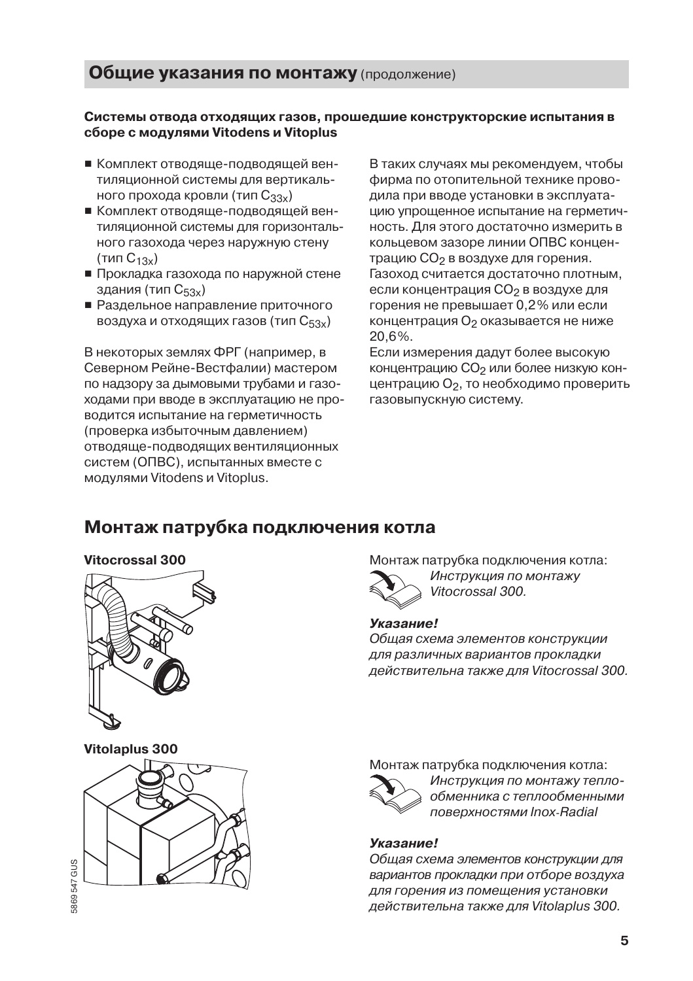#### Системы отвода отходящих газов, прошедшие конструкторские испытания в сборе с модулями Vitodens и Vitoplus

- Комплект отводяще-подводящей вентиляционной системы для вертикального прохода кровли (тип  $C_{33x}$ )
- комплект отволяше-полволяшей вентиляционной системы для горизонтального газохода через наружную стену  $(r$ ип  $C_{13x})$
- прокладка газохода по наружной стене здания (тип С<sub>53х</sub>)
- едания (ниг ⊎53х)<br>■ Разлельное направление приточного воздуха и отходящих газов (тип  $\rm C_{53x}$ )

В некоторых землях ФРГ (например, в Северном Рейне-Вестфалии) мастером по надзору за дымовыми трубами и газоходами при вводе в эксплуатацию не проводится испытание на герметичность (проверка избыточным давлением) отводяще-подводящих вентиляционных систем (ОПВС), испытанных вместе с модулями Vitodens и Vitoplus.

В таких случаях мы рекомендуем, чтобы фирма по отопительной технике прово-.<br>дила при вводе установки в эксплуатацию упрошенное испытание на герметичность. Для этого достаточно измерить в кольцевом зазоре линии ОПВС концентрацию  $CO<sub>2</sub>$  в воздухе для горения. Газоход считается достаточно плотным. если концентрация  $CO<sub>2</sub>$  в воздухе для горения не превышает 0.2% или если концентрация О<sub>2</sub> оказывается не ниже 20.6%.

Если измерения дадут более высокую концентрацию СО<sub>2</sub> или более низкую концентрацию О<sub>2</sub>, то необходимо проверить газовыпускную систему.

## Монтаж патрубка подключения котла



Vitolaplus 300



таж патрубка подключения котла: Инструкция по монтажу

Vitocrossal 300.

#### Указание!

Общая схема элементов конструкции для различных вариантов прокладки действительна также для Vitocrossal 300.

Монтаж патрубка подключения котла:



Инструкция по монтажу теплообменника с теплообменными поверхностями Inox-Radial

#### Указание!

Общая схема элементов конструкции для вариантов прокладки при отборе воздуха для горения из помещения установки действительна также для Vitolaplus 300.

5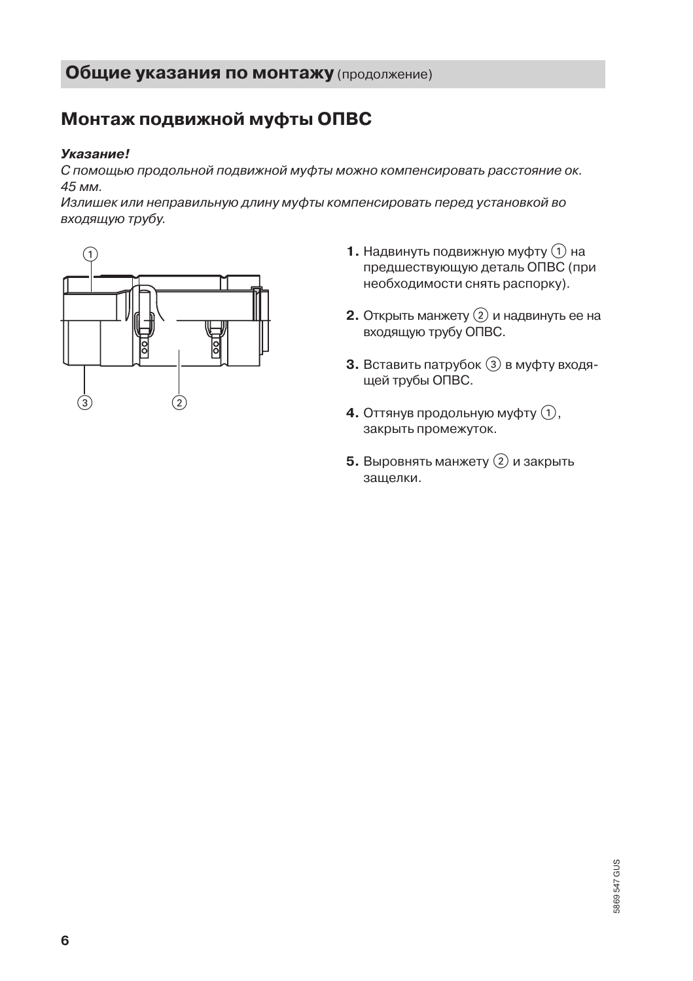## Монтаж подвижной муфты ОПВС

#### Указание!

С помощью продольной подвижной муфты можно компенсировать расстояние ок. 45 мм.

Излишек или неправильную длину муфты компенсировать перед установкой во входящую трубу.



- 1. Надвинуть подвижную муфту (1) на предшествующую деталь ОПВС (при необходимости снять распорку).
- **2.** Открыть манжету  $(2)$  и надвинуть ее на входящую трубу ОПВС.
- 3. Вставить патрубок 3 в муфту входящей трубы ОПВС.
- 4. Оттянув продольную муфту (1), закрыть промежуток.
- 5. Выровнять манжету  $(2)$  и закрыть защелки.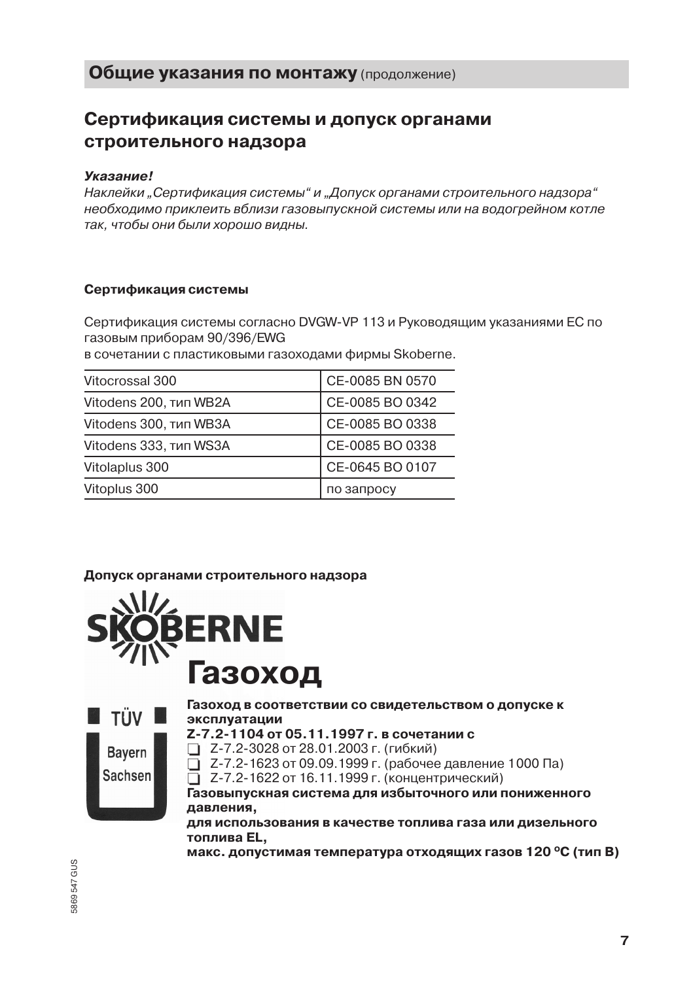## Сертификация системы и допуск органами строительного надзора

#### Указание!

Наклейки "Сертификация системы" и "Допуск органами строительного надзора" необходимо приклеить вблизи газовыпускной системы или на водогрейном котле так, чтобы они были хорошо видны.

#### Сертификация системы

Сертификация системы согласно DVGW-VP 113 и Руководящим указаниями EC по газовым приборам 90/396/EWG

в сочетании с пластиковыми газоходами фирмы Skoberne.

| Vitocrossal 300        | CE-0085 BN 0570 |
|------------------------|-----------------|
| Vitodens 200, тип WB2A | CE-0085 BO 0342 |
| Vitodens 300, тип WB3A | CE-0085 BO 0338 |
| Vitodens 333, тип WS3A | CE-0085 BO 0338 |
| Vitolaplus 300         | CE-0645 BO 0107 |
| Vitoplus 300           | по запросу      |

#### Допуск органами строительного надзора





Газоход в соответствии со свидетельством о допуске к эксплуатации

- Z-7.2-1104 от 05.11.1997 г. в сочетании с
- □ Z-7.2-3028 от 28.01.2003 г. (гибкий)

 $\overline{1}$  Z-7.2-1623 от 09.09.1999 г. (рабочее давление 1000 Па)

2-7.2-1622 от 16.11.1999 г. (концентрический)

Газовыпускная система для избыточного или пониженного давления.

для использования в качестве топлива газа или дизельного топлива EL.

макс. допустимая температура отходящих газов 120 °С (тип В)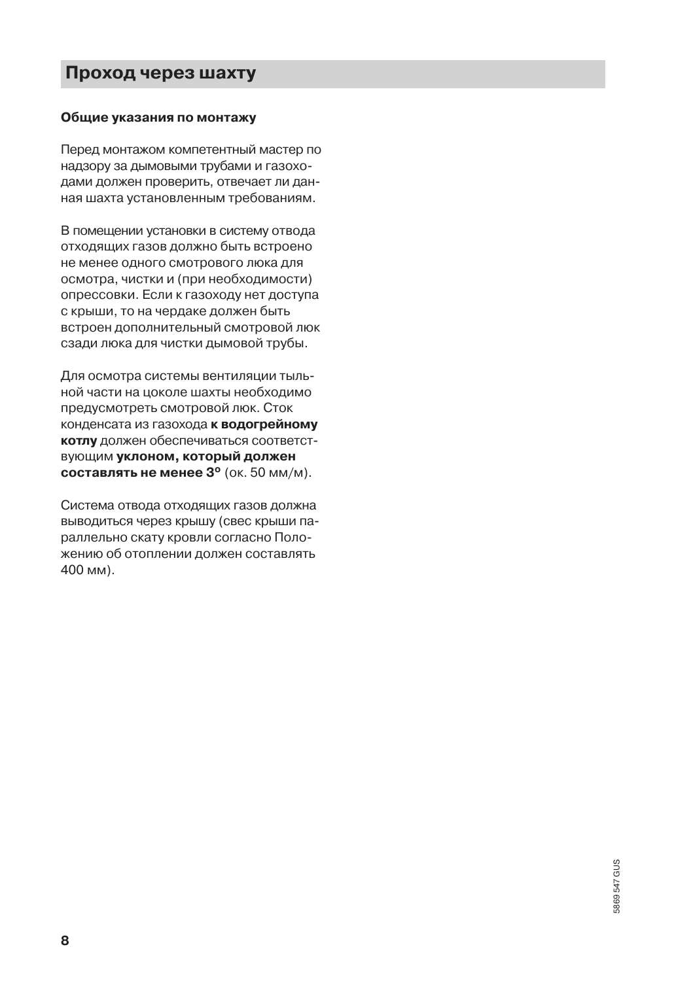## Проход через шахту

#### Общие указания по монтажу

Перед монтажом компетентный мастер по надзору за дымовыми трубами и газоходами должен проверить, отвечает ли данная шахта установленным требованиям.

В помещении установки в систему отвода отходящих газов должно быть встроено не менее одного смотрового люка для осмотра, чистки и (при необходимости) опрессовки. Если к газоходу нет доступа с крыши, то на чердаке должен быть встроен дополнительный смотровой люк сзади люка для чистки дымовой трубы.

Для осмотра системы вентиляции тыльной части на цоколе шахты необходимо предусмотреть смотровой люк. Сток конденсата из газохода к водогрейному котлу должен обеспечиваться соответствующим уклоном, который должен составлять не менее 3° (ок. 50 мм/м).

Система отвода отходящих газов должна выводиться через крышу (свес крыши параллельно скату кровли согласно Положению об отоплении должен составлять 400 мм).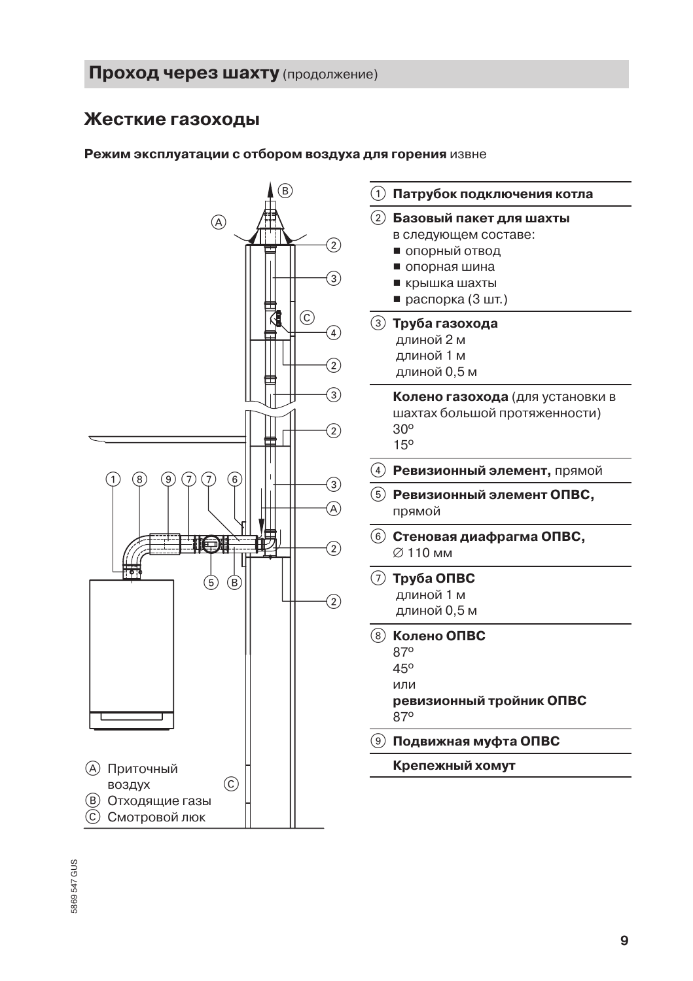## Жесткие газоходы

#### Режим эксплуатации с отбором воздуха для горения извне

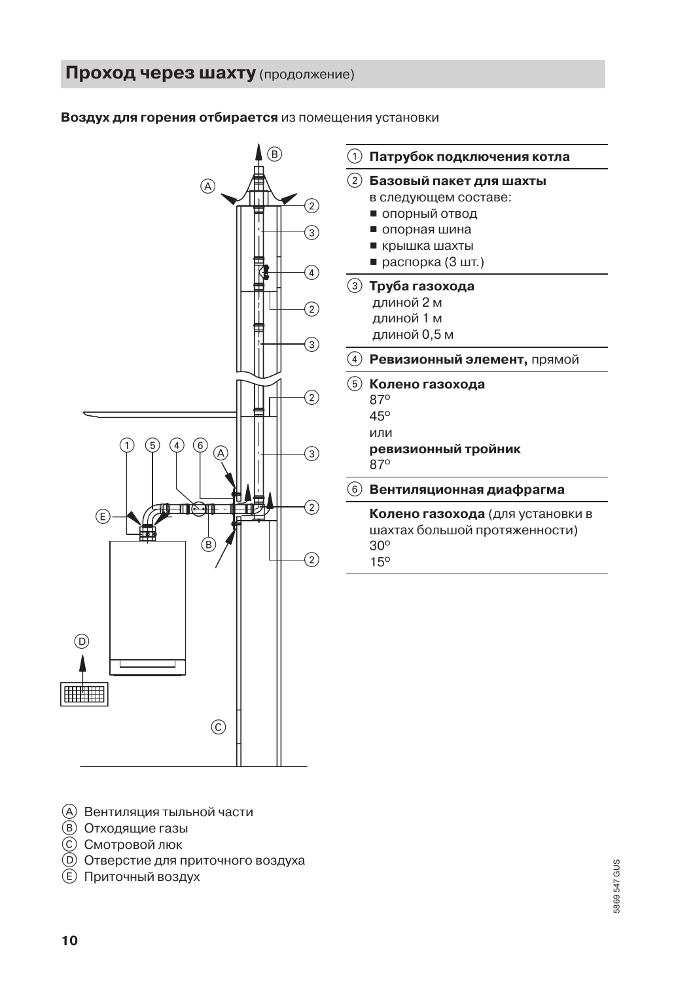#### Воздух для горения отбирается из помещения установки



| 1                  | Патрубок подключения котла              |
|--------------------|-----------------------------------------|
| $\left( 2\right)$  | Базовый пакет для шахты                 |
|                    | в следующем составе:                    |
|                    | ■ опорный отвод                         |
|                    | ■ опорная шина                          |
|                    | ■ крышка шахты                          |
|                    | ■ распорка (3 шт.)                      |
|                    | ③  Труба газохода                       |
|                    | длиной 2 м                              |
|                    | длиной 1 м                              |
|                    | длиной 0,5 м                            |
| $\left[ 4 \right]$ | Ревизионный элемент, прямой             |
| ์ 5                | Колено газохода                         |
|                    | 87°                                     |
|                    | 45°                                     |
|                    | или                                     |
|                    | ревизионный тройник                     |
|                    | 87°                                     |
| 6                  | Вентиляционная диафрагма                |
|                    | <b>Колено газохода</b> (для установки в |
|                    |                                         |
|                    | шахтах большой протяженности)           |
|                    | $30^\circ$                              |

- (A) Вентиляция тыльной части
- **(В)** Отходящие газы
- © Смотровой люк
- **(D)** Отверстие для приточного воздуха
- **E** Приточный воздух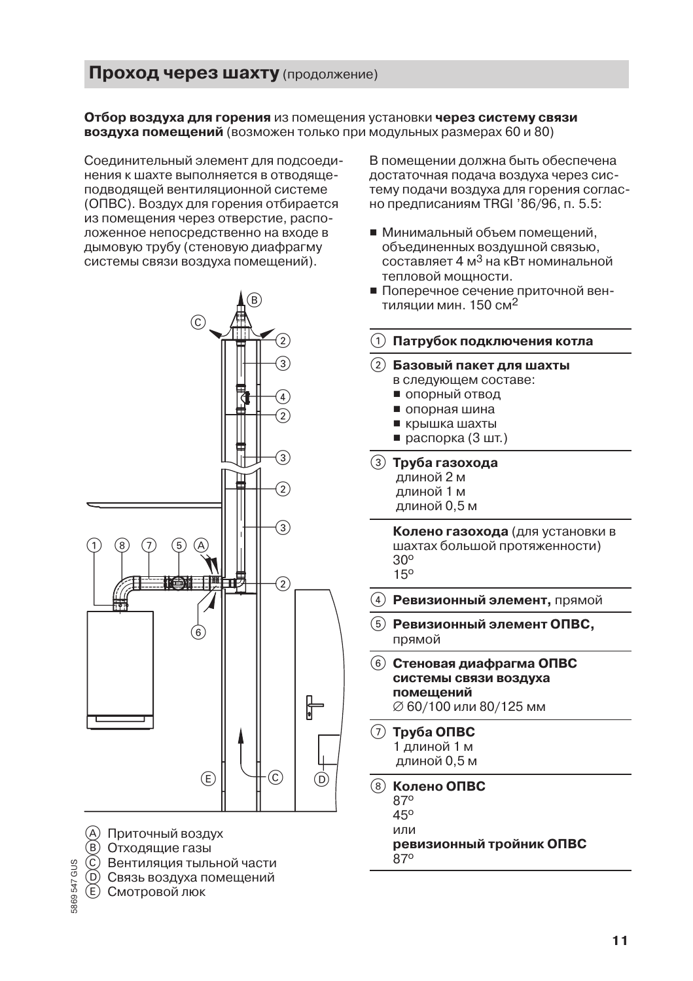Отбор воздуха для горения из помещения установки через систему связи воздуха помещений (возможен только при модульных размерах 60 и 80)

Соединительный элемент для подсоединения к шахте выполняется в отводящеподводящей вентиляционной системе (ОПВС). Воздух для горения отбирается из помещения через отверстие, расположенное непосредственно на входе в дымовую трубу (стеновую диафрагму системы связи воздуха помещений).



- (A) Приточный воздух
- **B** Отходящие газы
- © Вентиляция тыльной части
- ⊚ Связь воздуха помещений
- E) Смотровой люк

869547 GUS

В помешении должна быть обеспечена достаточная подача воздуха через систему подачи воздуха для горения согласно предписаниям TRGI '86/96, п. 5.5:

- Минимальный объем помещений, объединенных воздушной связью,  $\overline{C}$ оставляет 4 м<sup>3</sup> на кВт номинальной тепловой мошности.
- Поперечное сечение приточной вентиляции мин. 150 см<sup>2</sup>

|  |  | $\left( \right) \;$ Патрубок подключения котла |  |
|--|--|------------------------------------------------|--|

- Базовый пакет для шахты в следующем составе:
	- опорный отвод
	- опорная шина
	- крышка шахты
	- $p^*$  распорка (3 шт.)
- **(3) Труба газохода** длиной 2 м длиной 1 м длиной 0,5 м

Колено газохода (для установки в шахтах большой протяженности)  $30^{\circ}$  $15<sup>o</sup>$ 

- Ревизионный элемент, прямой
- $(5)$  Ревизионный элемент ОПВС, прямой
- (6) Стеновая диафрагма ОПВС системы связи воздуха помещений Ø 60/100 или 80/125 мм
- $(7)$  Tov<sub>6</sub>a O<sub>n</sub>BC 1 длиной 1 м длиной 0.5 м
- Колено ОПВС ൫
	- 870
	- 45°
	- или

ревизионный тройник ОПВС 870

 $11$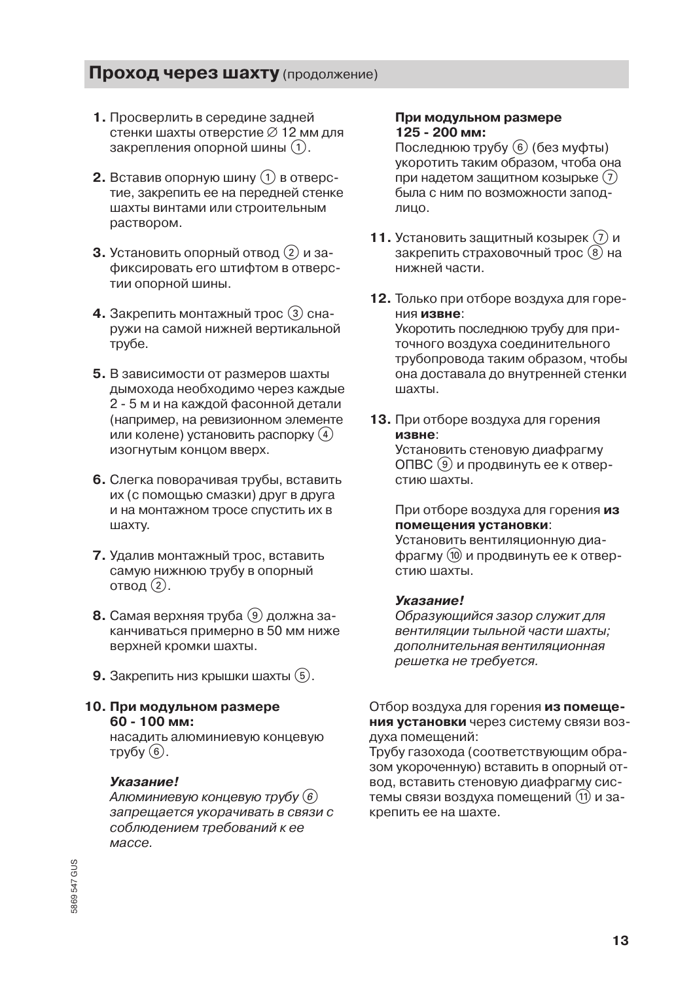- 1. Просверлить в середине задней стенки шахты отверстие Ø 12 мм для закрепления опорной шины (1).
- **2.** Вставив опорную шину  $(1)$  в отверстие, закрепить ее на передней стенке шахты винтами или строительным раствором.
- 3. Установить опорный отвод (2) и зафиксировать его штифтом в отверстии опорной шины.
- 4. Закрепить монтажный трос (3) снаружи на самой нижней вертикальной трубе.
- 5. В зависимости от размеров шахты дымохода необходимо через каждые 2 - 5 м и на каждой фасонной детали (например, на ревизионном элементе или колене) установить распорку (4) изогнутым концом вверх.
- 6. Слегка поворачивая трубы, вставить их (с помощью смазки) друг в друга и на монтажном тросе спустить их в шахту.
- 7. Удалив монтажный трос. вставить самую нижнюю трубу в опорный отвод (2).
- 8. Самая верхняя труба (9) должна заканчиваться примерно в 50 мм ниже верхней кромки шахты.
- **9.** Закрепить низ крышки шахты  $(5)$ .
- 10. При модульном размере 60 - 100 мм:

насадить алюминиевую концевую трубу $(6)$ .

#### Указание!

Алюминиевую концевую трубу (6) запрещается укорачивать в связи с соблюдением требований к ее массе.

#### При модульном размере 125 - 200 мм:

Последнюю трубу (6) (без муфты) укоротить таким образом, чтоба она при надетом защитном козырьке (7) была с ним по возможности заподлицо.

- 11. Установить защитный козырек  $(7)$  и закрепить страховочный трос (8) на нижней части.
- 12. Только при отборе воздуха для горения извне:

Укоротить последнюю трубу для приточного воздуха соединительного трубопровода таким образом, чтобы она доставала до внутренней стенки шахты.

13. При отборе воздуха для горения извне: Установить стеновую диафрагму

ОПВС (9) и продвинуть ее к отверстию шахты.

#### При отборе воздуха для горения из помещения установки:

Установить вентиляционную диафрагму (10 и продвинуть ее к отвер-СТИЮ ШАХТЫ

#### Указание!

Образующийся зазор служит для вентиляции тыльной части шахты: дополнительная вентиляционная решетка не требуется.

#### Отбор воздуха для горения из помещения установки через систему связи воздуха помещений:

Трубу газохода (соответствующим образом укороченную) вставить в опорный отвод, вставить стеновую диафрагму системы связи воздуха помещений (11) и закрепить ее на шахте.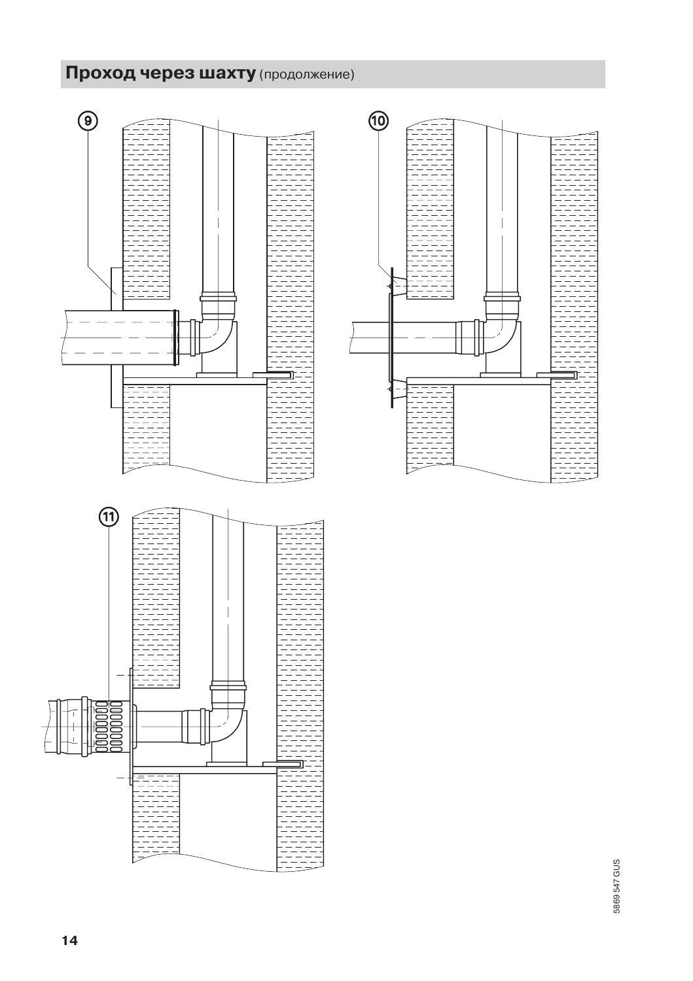

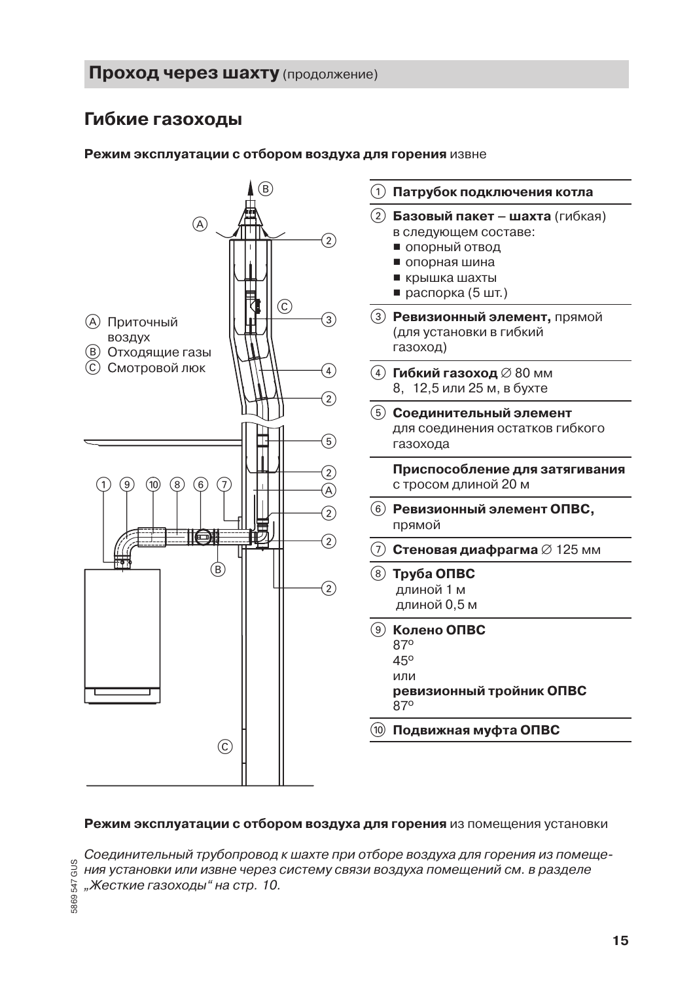## Гибкие газоходы

#### Режим эксплуатации с отбором воздуха для горения извне



#### Режим эксплуатации с отбором воздуха для горения из помещения установки

Соединительный трубопровод к шахте при отборе воздуха для горения из помещения установки или извне через систему связи воздуха помещений см. в разделе "Жесткие газоходы" на стр. 10.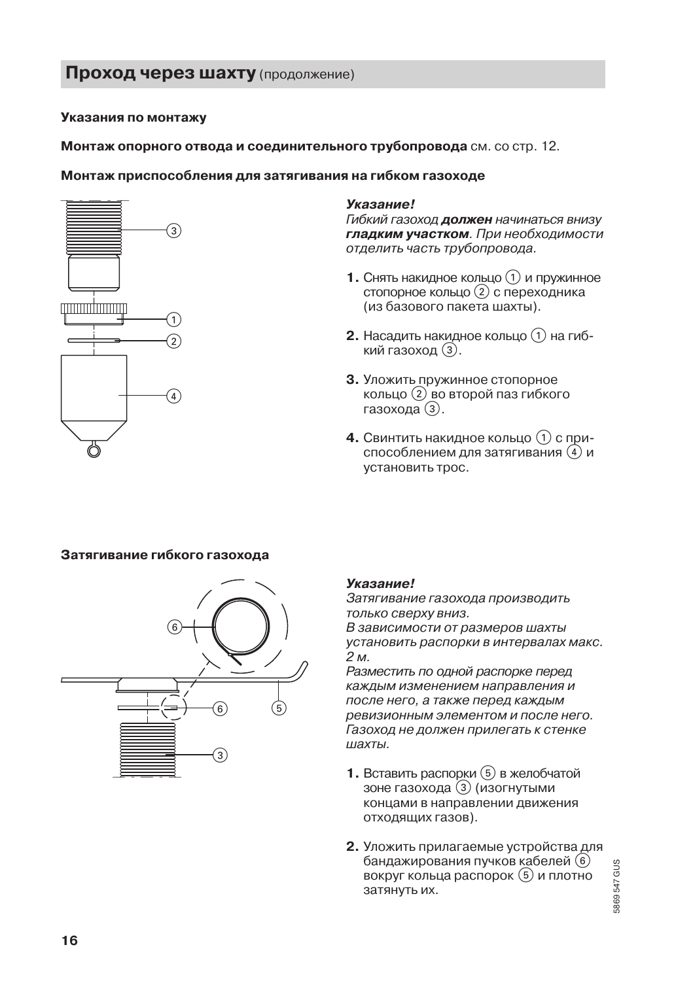#### Указания по монтажу

Монтаж опорного отвода и соединительного трубопровода см. со стр. 12.

#### Монтаж приспособления для затягивания на гибком газоходе



#### Указание!

Гибкий газоход **должен** начинаться внизу гладким участком. При необходимости отделить часть трубопровода.

- **1.** Снять накидное кольцо  $\Omega$  и пружинное стопорное кольцо (2) с переходника (из базового пакета шахты).
- **2.** Насадить накидное кольцо  $(1)$  на гибкий газоход (3).
- 3. Уложить пружинное стопорное кольцо (2) во второй паз гибкого газохода (3).
- 4. Свинтить накидное кольцо (1) с приспособлением для затягивания (4) и установить трос.

#### Затягивание гибкого газохода



#### **Указание!**

Затягивание газохода производить только сверху вниз. В зависимости от размеров шахты установить распорки в интервалах макс. 2м.

Разместить по одной распорке перед каждым изменением направления и после него, а также перед каждым ревизионным элементом и после него. Газоход не должен прилегать к стенке шахты.

- 1. Вставить распорки (5) в желобчатой зоне газохода (3) (изогнутыми концами в направлении движения отходящих газов).
- 2. Уложить прилагаемые устройства для бандажирования пучков кабелей (6) вокруг кольца распорок (5) и плотно затянуть их.

5869547 GUS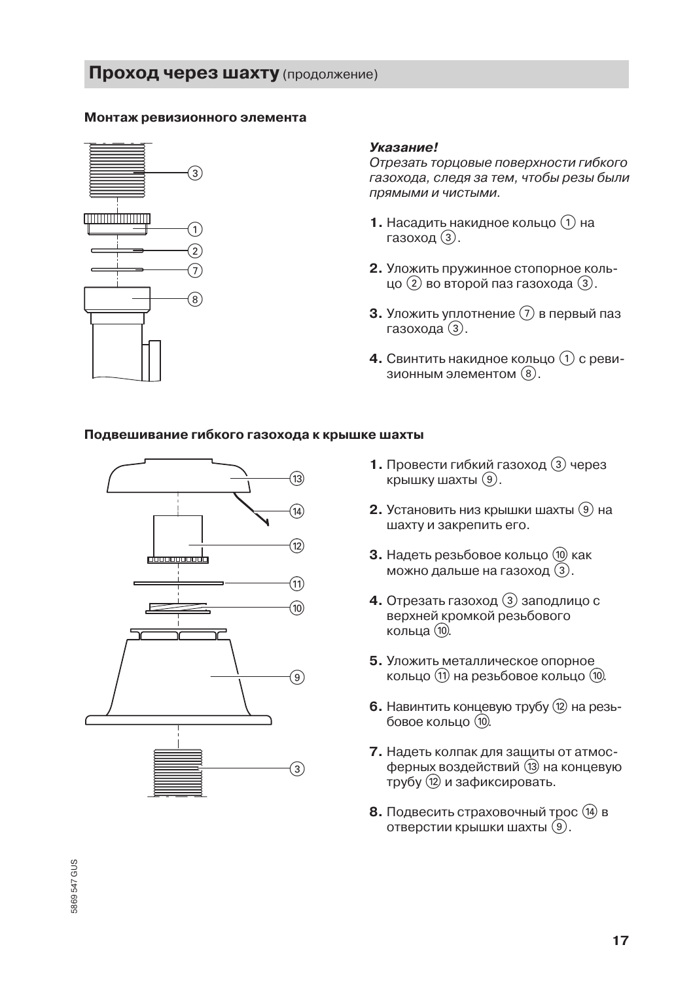#### Монтаж ревизионного элемента



#### Указание!

Отрезать торцовые поверхности гибкого газохода, следя за тем, чтобы резы были ПОЯМЫМИ И ЧИСТЫМИ.

- 1. Насадить накидное кольцо (1) на газоход (3).
- 2. Уложить пружинное стопорное кольцо (2) во второй паз газохода (3).
- **3.** Уложить уплотнение  $(7)$  в первый паз газохода (3).
- 4. Свинтить накидное кольцо (1) с ревизионным элементом (8).

#### Подвешивание гибкого газохода к крышке шахты



- 1. Провести гибкий газоход (3) через крышку шахты (9).
- 2. Установить низ крышки шахты (9) на шахту и закрепить его.
- 3. Надеть резьбовое кольцо (10) как можно дальше на газоход (3).
- 4. Отрезать газоход 3 заподлицо с верхней кромкой резьбового кольца $(10)$
- 5. Уложить металлическое опорное кольцо (1) на резьбовое кольцо (10).
- 6. Навинтить концевую трубу  $(2)$  на резьбовое кольцо (10).
- 7. Надеть колпак для защиты от атмосферных воздействий (13) на концевую трубу (12) и зафиксировать.
- 8. Подвесить страховочный трос (14) в отверстии крышки шахты (9).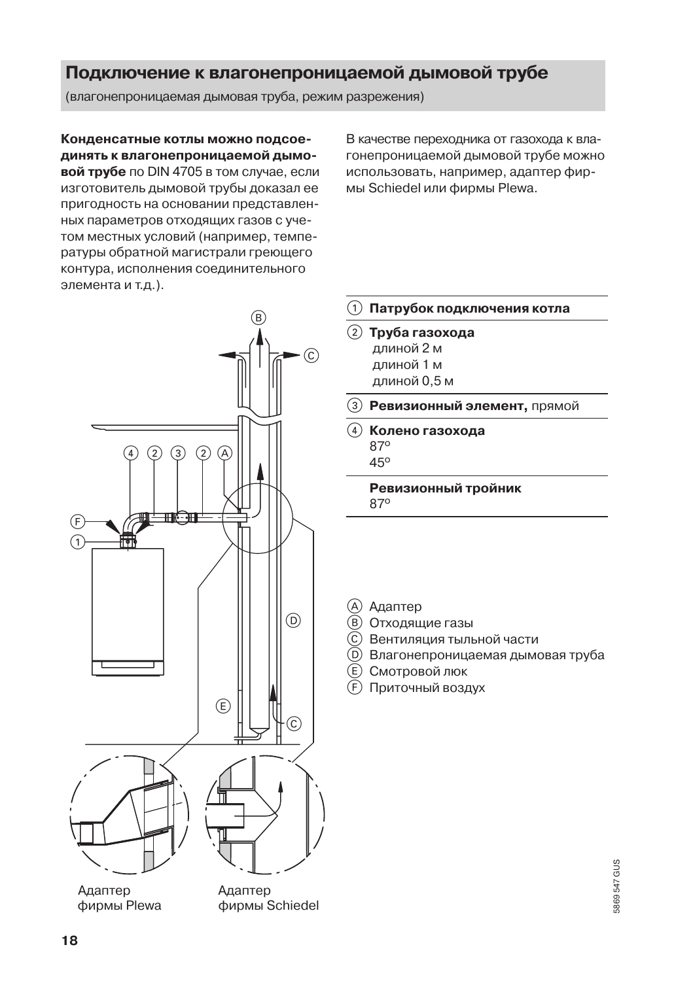## Подключение к влагонепроницаемой дымовой трубе

(влагонепроницаемая дымовая труба, режим разрежения)

Конденсатные котлы можно подсоединять к влагонепроницаемой дымо-

вой трубе по DIN 4705 в том случае, если изготовитель дымовой трубы доказал ее пригодность на основании представленных параметров отходящих газов с учетом местных условий (например, температуры обратной магистрали греющего контура, исполнения соединительного элемента и т.д.).

В качестве переходника от газохода к влагонепроницаемой дымовой трубе можно использовать, например, адаптер фирмы Schiedel или фирмы Plewa.



фирмы Schiedel

- (1) Патрубок подключения котла
- Ревизионный элемент, прямой

Ревизионный тройник

- C Вентиляция тыльной части
- (D) Влагонепроницаемая дымовая труба

фирмы Plewa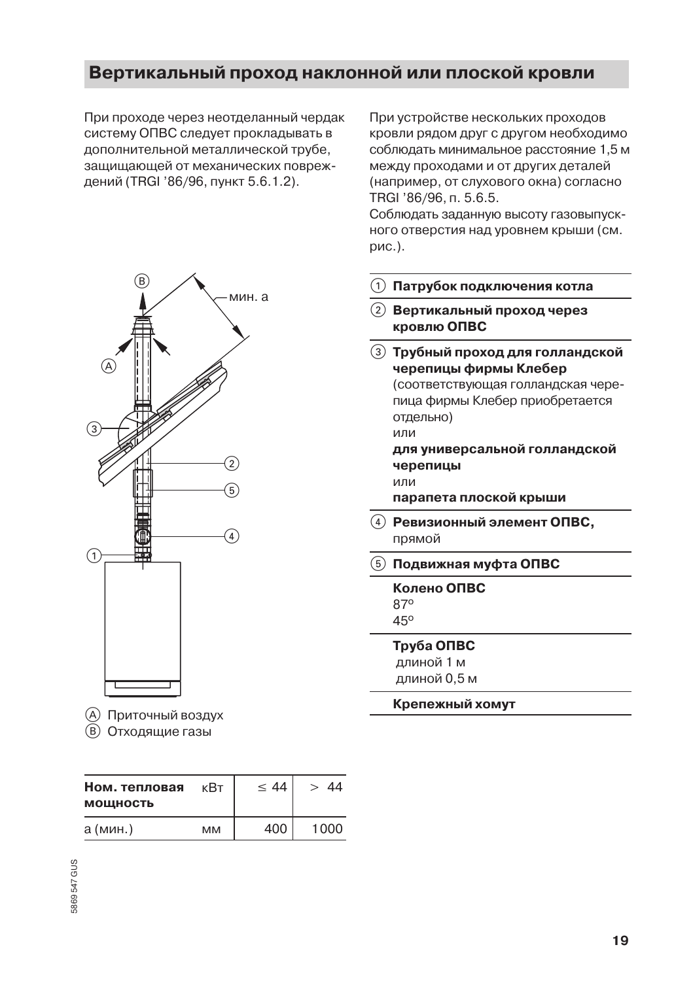## Вертикальный проход наклонной или плоской кровли

При проходе через неотделанный чердак систему ОПВС следует прокладывать в дополнительной металлической трубе. зашишающей от механических повреждений (TRGI '86/96, пункт 5.6.1.2).



- (A) Приточный воздух
- **(B)** Отходящие газы

| Ном. тепловая<br><b>МОЩНОСТЬ</b> | кВт       | $\leq 44$ | 44   |
|----------------------------------|-----------|-----------|------|
| а (мин.)                         | <b>MM</b> | 400       | 1000 |

При устройстве нескольких проходов кровли рядом друг с другом необходимо соблюдать минимальное расстояние 1.5 м между проходами и от других деталей (например, от слухового окна) согласно TRGI '86/96, n. 5.6.5.

Соблюдать заданную высоту газовыпускного отверстия над уровнем крыши (см. рис.).

- (1) Патрубок подключения котла
- Вертикальный проход через **кровлю ОПВС**
- (3) Трубный проход для голландской черепицы фирмы Клебер (соответствующая голландская черепица фирмы Клебер приобретается отдельно) или для универсальной голландской черепицы или
	- парапета плоской крыши
- $\widehat{A}$ ) Ревизионный элемент ОПВС, прямой
- $\boxed{5}$  Подвижная муфта ОПВС
	- Колено ОПВС 870 45°

#### Труба ОПВС

длиной 1 м длиной 0,5 м

#### Крепежный хомут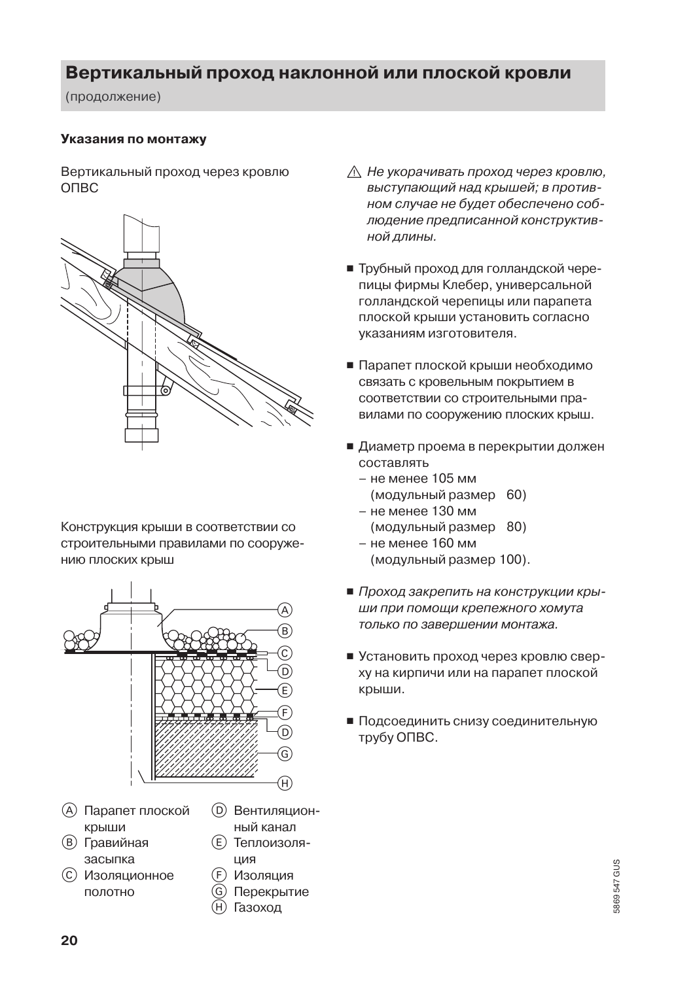## Вертикальный проход наклонной или плоской кровли

(продолжение)

#### Указания по монтажу

Вертикальный проход через кровлю O<sub>UBC</sub>



Конструкция крыши в соответствии со строительными правилами по сооружению плоских крыш



- (A) Парапет плоской крыши
- (в) Гравийная засыпка
- (с) Изоляционное полотно
- (D) Вентиляцион-
- ный канал (E) Теплоизоля-ЦИЯ
	- Изоляция
- Перекрытие
- Газоход  $\circledR$
- ∧ Не укорачивать проход через кровлю, выступающий над крышей; в противном случае не будет обеспечено соблюдение предписанной конструктивной длины.
- Трубный проход для голландской черепицы фирмы Клебер, универсальной голландской черепицы или парапета плоской крыши установить согласно указаниям изготовителя.
- Парапет плоской крыши необходимо связать с кровельным покрытием в соответствии со строительными правилами по сооружению плоских крыш.
- Диаметр проема в перекрытии должен COCTABURTH
	- не менее 105 мм (модульный размер 60)
	- не менее 130 мм (модульный размер 80)
	- не менее 160 мм (модульный размер 100).
- Проход закрепить на конструкции крыши при помощи крепежного хомута только по завершении монтажа.
- Установить проход через кровлю сверху на кирпичи или на парапет плоской крыши.
- Подсоединить снизу соединительную трубу ОПВС.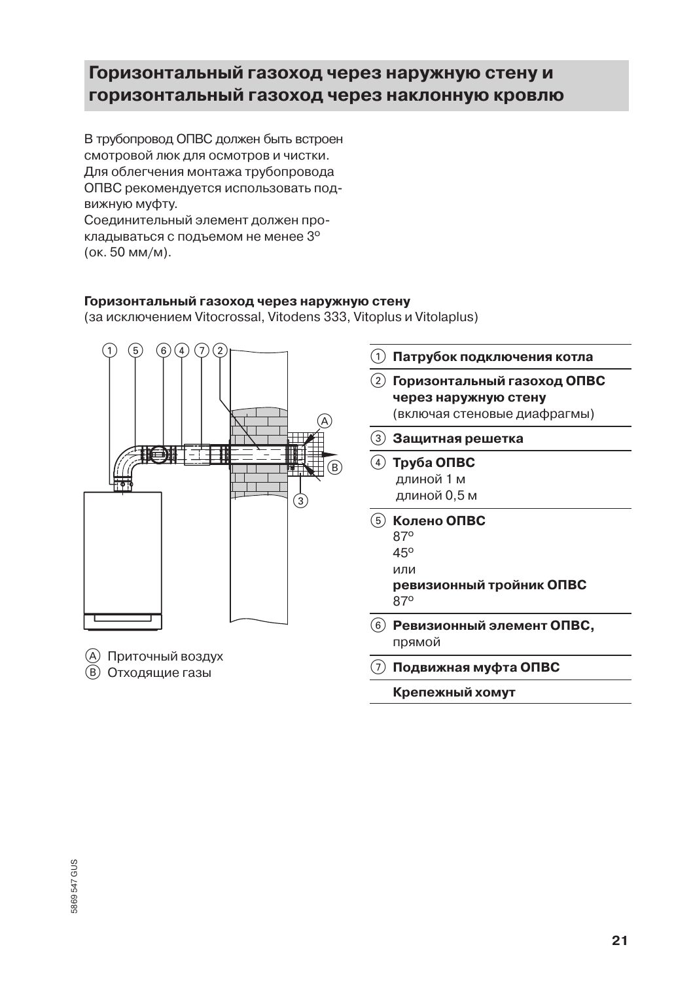## Горизонтальный газоход через наружную стену и горизонтальный газоход через наклонную кровлю

В трубопровод ОПВС должен быть встроен смотровой люк для осмотров и чистки. Для облегчения монтажа трубопровода ОПВС рекомендуется использовать подвижную муфту.

Соединительный элемент должен прокладываться с подъемом не менее 3° (ок. 50 мм/м).

#### Горизонтальный газоход через наружную стену

(за исключением Vitocrossal, Vitodens 333, Vitoplus и Vitolaplus)



Крепежный хомут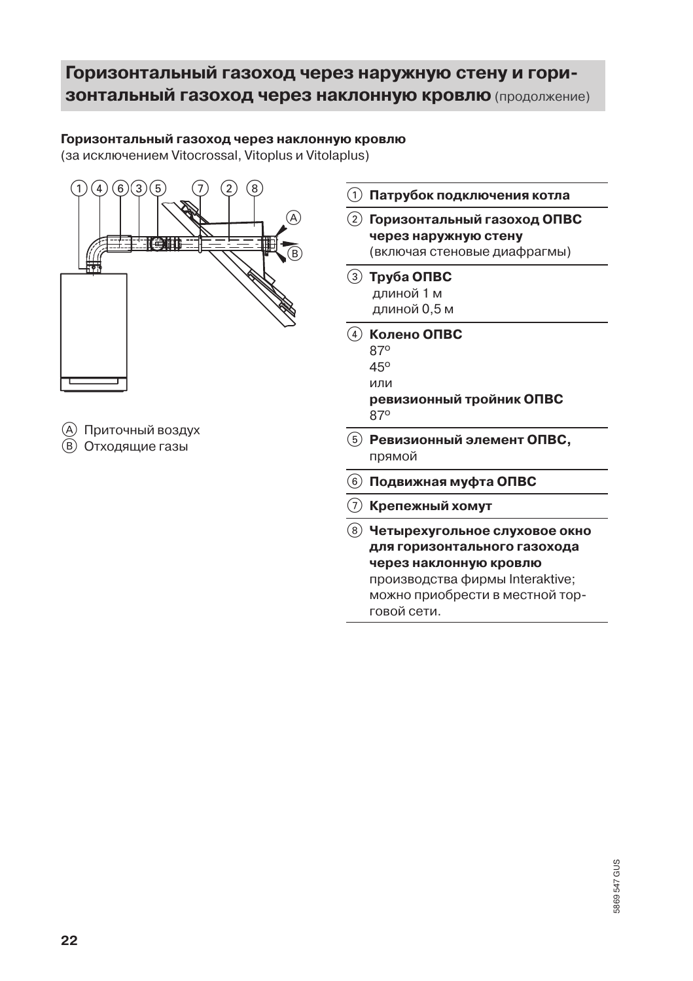## Горизонтальный газоход через наружную стену и гори-ЗОНТАЛЬНЫЙ ГАЗОХОД ЧЕРЕЗ НАКЛОННУЮ КРОВЛЮ (продолжение)

#### Горизонтальный газоход через наклонную кровлю

(за исключением Vitocrossal, Vitoplus и Vitolaplus)

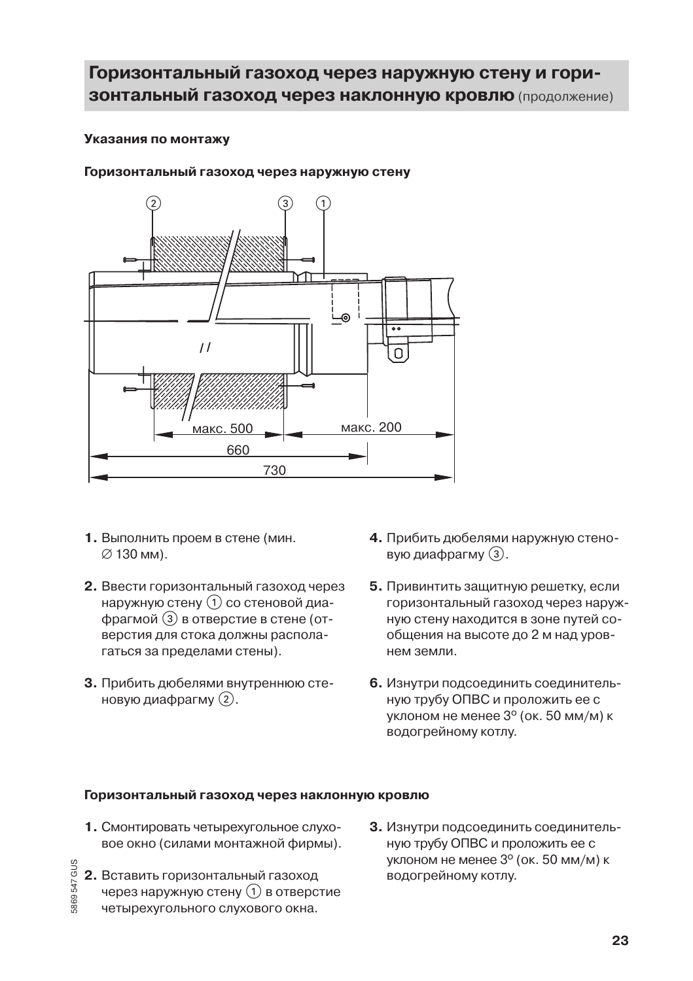## Горизонтальный газоход через наружную стену и гори-ЗОНТАЛЬНЫЙ ГАЗОХОД ЧЕРЕЗ НАКЛОННУЮ КРОВЛЮ (продолжение)

#### Указания по монтажу

#### Горизонтальный газоход через наружную стену



- 1. Выполнить проем в стене (мин.  $\varnothing$  130 мм).
- 2. Ввести горизонтальный газоход через наружную стену (1) со стеновой диафрагмой (3) в отверстие в стене (отверстия для стока должны располагаться за пределами стены).
- 3. Прибить дюбелями внутреннюю стеновую диафрагму (2).
- 4. Прибить дюбелями наружную стеновую диафрагму (3).
- 5. Привинтить защитную решетку, если горизонтальный газоход через наружную стену находится в зоне путей сообщения на высоте до 2 м над уровнем земли.
- 6. Изнутри подсоединить соединительную трубу ОПВС и проложить ее с уклоном не менее 3° (ок. 50 мм/м) к водогрейному котлу.

#### Горизонтальный газоход через наклонную кровлю

- 1. Смонтировать четырехугольное слуховое окно (силами монтажной фирмы).
- 2. Вставить горизонтальный газоход через наружную стену (1) в отверстие четырехугольного слухового окна.

869547 GUS

3. Изнутри подсоединить соединительную трубу ОПВС и проложить ее с уклоном не менее 3° (ок. 50 мм/м) к водогрейному котлу.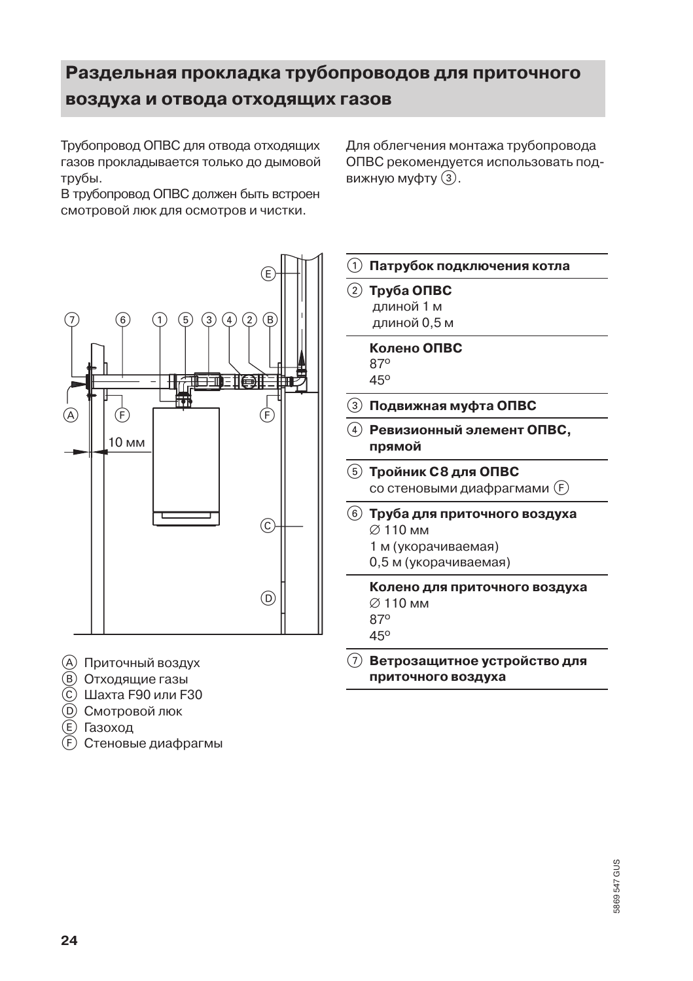## Раздельная прокладка трубопроводов для приточного воздуха и отвода отходящих газов

Трубопровод ОПВС для отвода отходящих газов прокладывается только до дымовой трубы.

В трубопровод ОПВС должен быть встроен смотровой люк для осмотров и чистки.

(B 3  $\overline{4}$ गंगा ा ह्या (F A F 10 мм C. (D)

- (A) Приточный воздух
- **(B)** Отходящие газы
- © Шахта F90 или F30
- **(D) Смотровой люк**
- (E) Газоход
- (F) Стеновые диафрагмы





#### 7 Ветрозащитное устройство для приточного воздуха

# 5869 547 GUS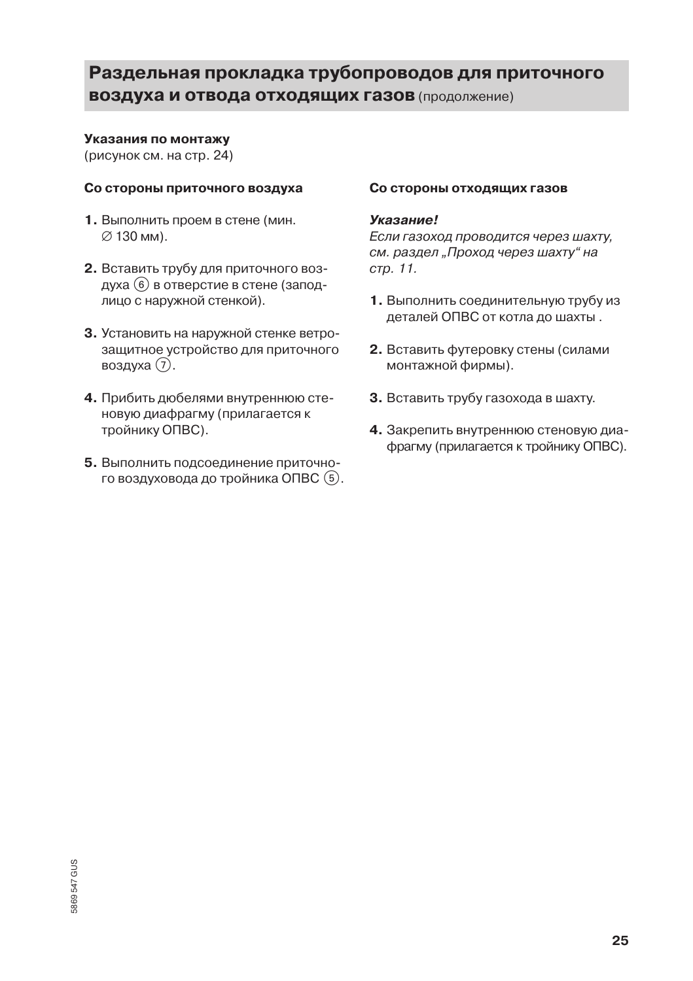## Раздельная прокладка трубопроводов для приточного **ВОЗДУХА И ОТВОДА ОТХОДЯЩИХ ГАЗОВ (ПРОДОЛЖЕНИЕ)**

#### Указания по монтажу

(рисунок см. на стр. 24)

#### Со стороны приточного воздуха

- 1. Выполнить проем в стене (мин. ⊘ 130 мм).
- 2. Вставить трубу для приточного воздуха (6) в отверстие в стене (заподлицо с наружной стенкой).
- 3. Установить на наружной стенке ветрозащитное устройство для приточного воздуха (7).
- 4. Прибить дюбелями внутреннюю стеновую диафрагму (прилагается к тройнику ОПВС).
- 5. Выполнить подсоединение приточного воздуховода до тройника ОПВС (5).

#### Со стороны отходящих газов

#### Указание!

Если газоход проводится через шахту, см. раздел "Проход через шахту" на стр. 11.

- 1. Выполнить соединительную трубу из деталей ОПВС от котла до шахты.
- 2. Вставить футеровку стены (силами монтажной фирмы).
- 3. Вставить трубу газохода в шахту.
- 4. Закрепить внутреннюю стеновую диафрагму (прилагается к тройнику ОПВС).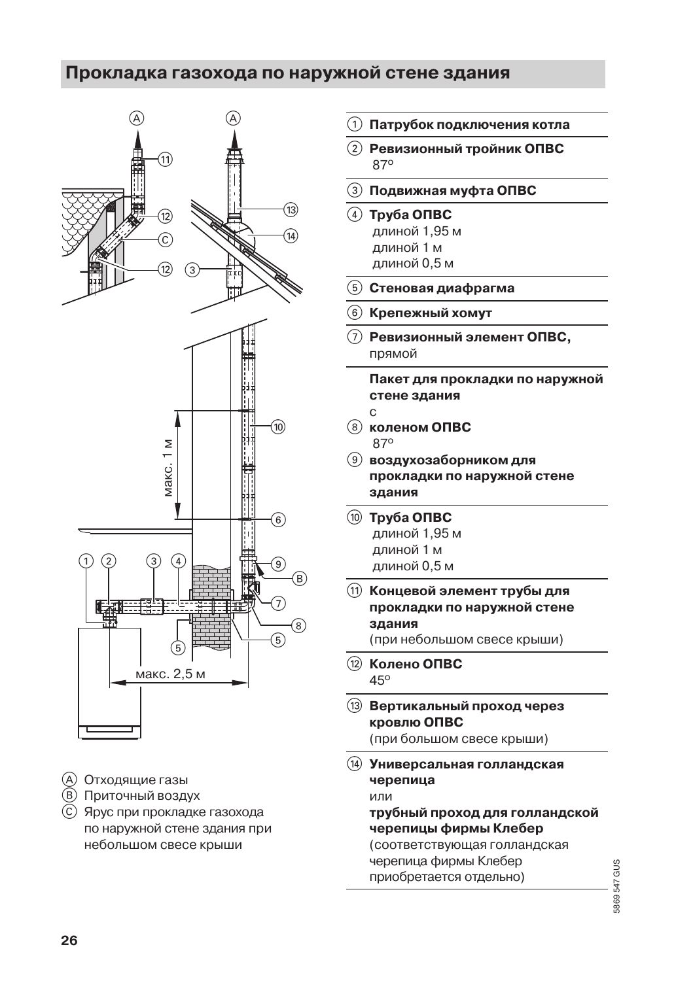## Прокладка газохода по наружной стене здания



- (A) Отходящие газы
- **(В) Приточный воздух**
- (с) Ярус при прокладке газохода по наружной стене здания при небольшом свесе крыши
- Патрубок подключения котла
- Ревизионный тройник ОПВС 870
- Подвижная муфта ОПВС
- $(4)$  Tpy 6a ONBC длиной 1.95 м
	- длиной 1 м
	- длиной 0,5 м
- Стеновая диафрагма
- Крепежный хомут
- Ревизионный элемент ОПВС, прямой

Пакет для прокладки по наружной стене здания

- $\mathbf C$
- **8** коленом ОПВС 870
- **9** воздухозаборником для прокладки по наружной стене здания
- **10 Труба ОПВС** длиной 1,95 м длиной 1 м длиной 0,5 м
- (1) Концевой элемент трубы для прокладки по наружной стене здания (при небольшом свесе крыши)
- (12) Колено ОПВС 45°
- (13) Вертикальный проход через кровлю ОПВС (при большом свесе крыши)
- (14) Универсальная голландская черепица или трубный проход для голландской черепицы фирмы Клебер (соответствующая голландская черепица фирмы Клебер
	- приобретается отдельно)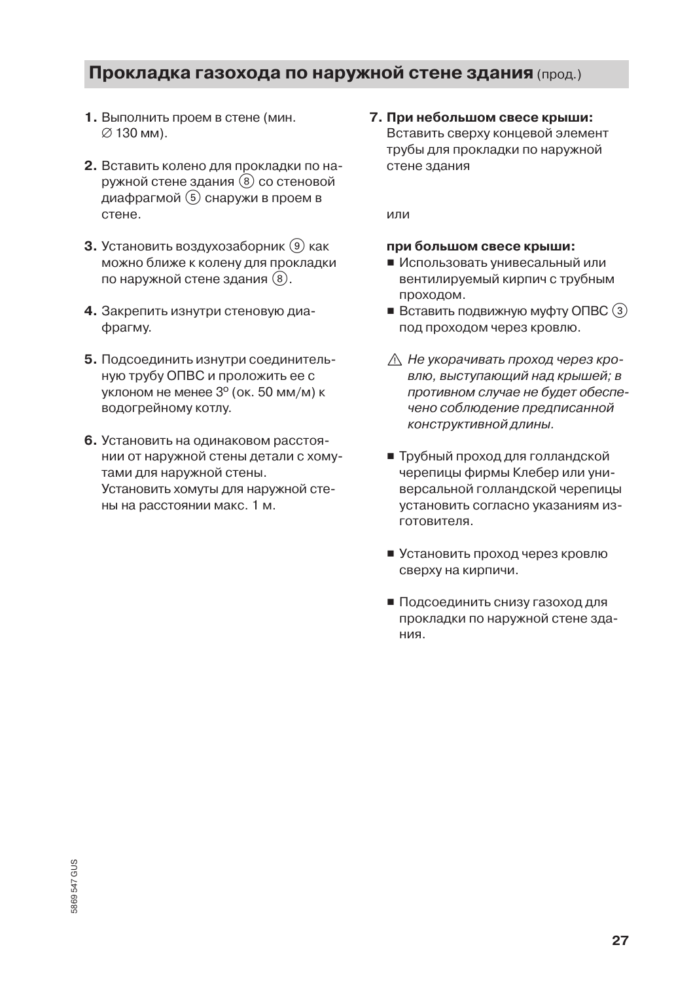## Прокладка газохода по наружной стене здания (прод.)

- 1. Выполнить проем в стене (мин. ⊘ 130 мм).
- 2. Вставить колено для прокладки по наружной стене здания (8) со стеновой диафрагмой (5) снаружи в проем в стене.
- 3. Установить воздухозаборник (9) как можно ближе к колену для прокладки по наружной стене здания (8).
- 4. Закрепить изнутри стеновую диафрагму.
- 5. Подсоединить изнутри соединительную трубу ОПВС и проложить ее с уклоном не менее 3° (ок. 50 мм/м) к водогрейному котлу.
- 6. Установить на одинаковом расстоянии от наружной стены детали с хомутами для наружной стены. Установить хомуты для наружной стены на расстоянии макс. 1 м.

7. При небольшом свесе крыши: Вставить сверху концевой элемент трубы для прокладки по наружной стене здания

или

#### при большом свесе крыши:

- Использовать унивесальный или вентилируемый кирпич с трубным проходом.
- $\blacksquare$  Вставить подвижную муфту ОПВС  $(3)$ под проходом через кровлю.
- ∆ Не укорачивать проход через кровлю, выступающий над крышей; в противном случае не будет обеспечено соблюдение предписанной конструктивной длины.
- Трубный проход для голландской черепицы фирмы Клебер или универсальной голландской черепицы установить согласно указаниям из-ГОТОВИТАЛЯ
- Установить проход через кровлю сверху на кирпичи.
- Подсоединить снизу газоход для прокладки по наружной стене здания.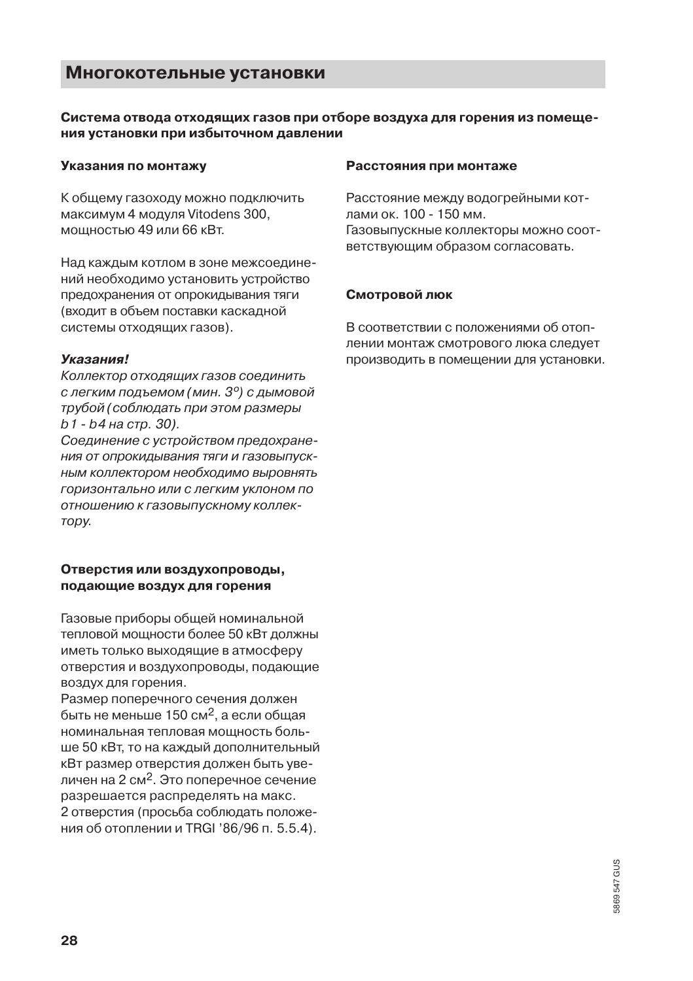#### Многокотельные установки

#### Система отвода отходящих газов при отборе воздуха для горения из помещения установки при избыточном давлении

#### Указания по монтажу

К общему газоходу можно подключить максимум 4 модуля Vitodens 300. мощностью 49 или 66 кВт.

Над каждым котлом в зоне межсоединений необходимо установить устройство предохранения от опрокидывания тяги (входит в объем поставки каскадной системы отходящих газов).

#### Указания!

Коллектор отходящих газов соединить с легким подъемом (мин. 3°) с дымовой трубой (соблюдать при этом размеры b1 - b4 на стр. 30).

Соединение с устройством предохране-НИЯ ОТ ОПРОКИДЫВАНИЯ ТЯГИ И ГАЗОВЫПУСКным коллектором необходимо выровнять горизонтально или с легким уклоном по отношению к газовыпускному коллек-TODV.

#### Отверстия или воздухопроводы, подающие воздух для горения

Газовые приборы общей номинальной тепловой мощности более 50 кВт должны иметь только выходящие в атмосферу отверстия и воздухопроводы, подающие воздух для горения.

Размер поперечного сечения должен быть не меньше 150 см<sup>2</sup>, а если общая номинальная тепловая мощность больше 50 кВт, то на каждый дополнительный кВт размер отверстия должен быть увеличен на 2 см<sup>2</sup>. Это поперечное сечение разрешается распределять на макс. 2 отверстия (просьба соблюдать положения об отоплении и TRGI '86/96 п. 5.5.4).

#### Расстояния при монтаже

Расстояние между водогрейными котлами ок. 100 - 150 мм. Газовыпускные коллекторы можно соответствующим образом согласовать.

#### Смотровой люк

В соответствии с положениями об отоплении монтаж смотрового люка следует производить в помещении для установки.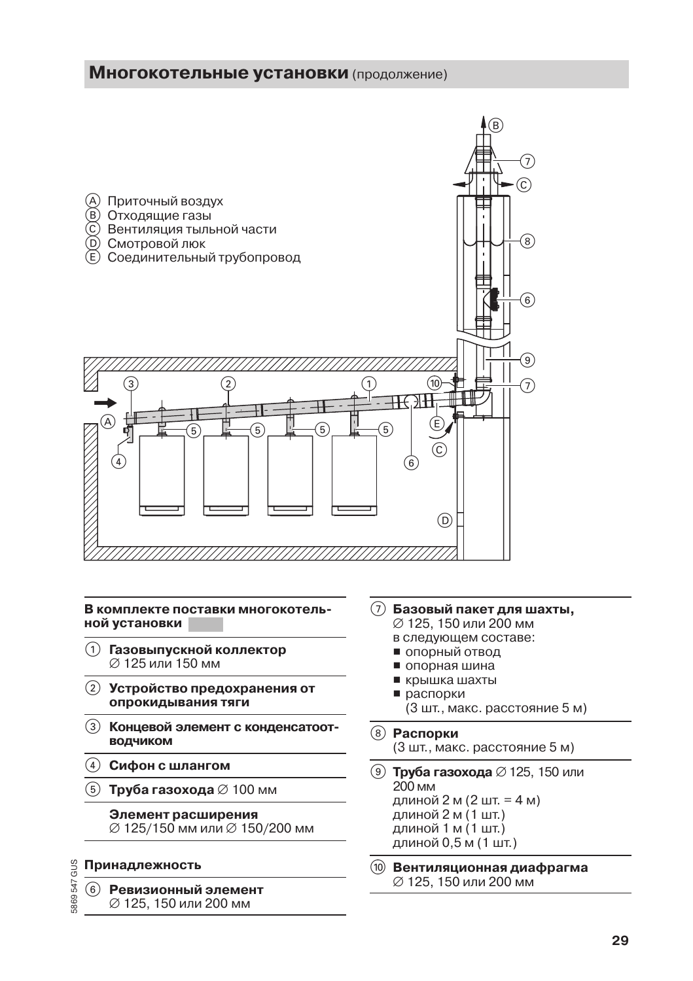#### Многокотельные установки (продолжение)



В комплекте поставки многокотельной установки

- (1) Газовыпускной коллектор ⊘ 125 или 150 мм
- (2) Устройство предохранения от опрокидывания тяги
- 3 Концевой элемент с конденсатоотводчиком
- $\left( 4\right)$  Сифон с шлангом
- **5) Труба газохода** ∅ 100 мм

#### Элемент расширения

Ø 125/150 мм или Ø 150/200 мм

#### Принадлежность

5869547 GUS

Ревизионный элемент  $(6)$ Ø 125, 150 или 200 мм

- (7) Базовый пакет для шахты,
	- Ø 125, 150 или 200 мм в следующем составе:
	- опорный отвод
	- опорная шина
	- крышка шахты
	- распорки
	- (3 шт., макс. расстояние 5 м)
- **(8) Распорки** (3 шт., макс. расстояние 5 м)
- **⑨ Труба газохода** Ø 125, 150 или 200 MM длиной 2 м (2 шт. = 4 м) длиной 2 м (1 шт.) длиной 1 м (1 шт.) длиной 0,5 м (1 шт.)
- (10) Вентиляционная диафрагма Ø 125, 150 или 200 мм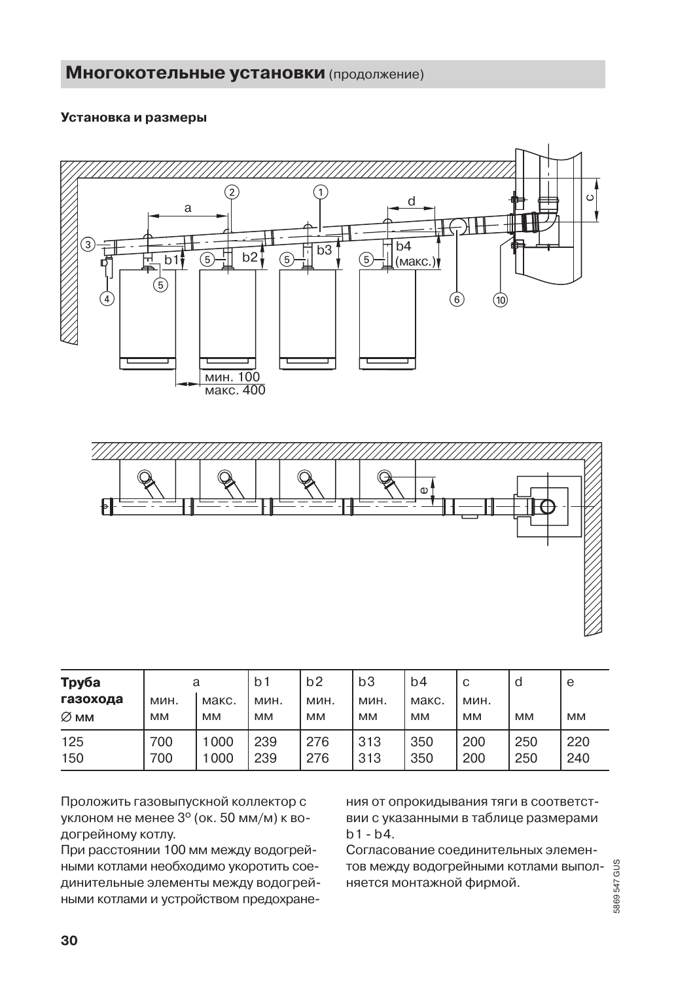#### Установка и размеры





| Труба<br>газохода | a<br>мин.  | макс.        | b <sub>1</sub><br>мин. | b2<br>мин. | b3<br>мин. | b4<br>макс. | C<br>мин.  | d          | e          |
|-------------------|------------|--------------|------------------------|------------|------------|-------------|------------|------------|------------|
| $\varnothing$ MM  | <b>MM</b>  | <b>MM</b>    | MM                     | <b>MM</b>  | <b>MM</b>  | <b>MM</b>   | <b>MM</b>  | <b>MM</b>  | <b>MM</b>  |
| 125<br>150        | 700<br>700 | 1000<br>1000 | 239<br>239             | 276<br>276 | 313<br>313 | 350<br>350  | 200<br>200 | 250<br>250 | 220<br>240 |

Проложить газовыпускной коллектор с уклоном не менее 3° (ок. 50 мм/м) к водогрейному котлу.

При расстоянии 100 мм между водогрейными котлами необходимо укоротить соединительные элементы между водогрейными котлами и устройством предохране-

ния от опрокидывания тяги в соответствии с указанными в таблице размерами  $h1 - h4$ .

Согласование соединительных элементов между водогрейными котлами выполняется монтажной фирмой.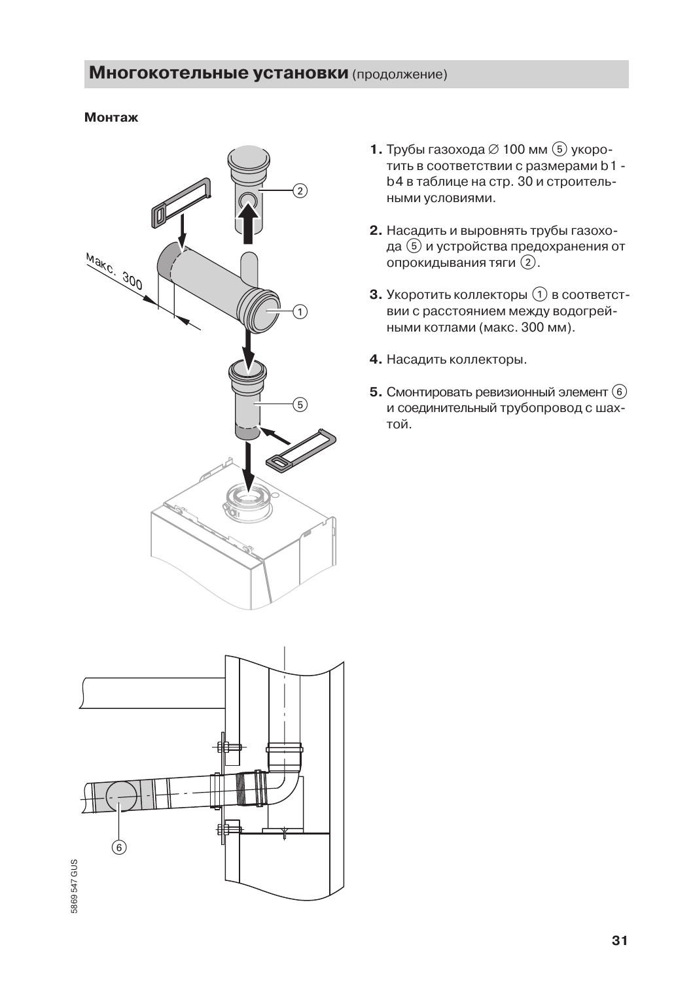#### Монтаж



- 1. Трубы газохода Ø 100 мм  $\circledS$  укоротить в соответствии с размерами b1 b4 в таблице на стр. 30 и строительными условиями.
- 2. Насадить и выровнять трубы газохода (5) и устройства предохранения от опрокидывания тяги (2).
- 3. Укоротить коллекторы (1) в соответствии с расстоянием между водогрейными котлами (макс. 300 мм).
- 4. Насадить коллекторы.
- 5. Смонтировать ревизионный элемент (6) и соединительный трубопровод с шахтой.